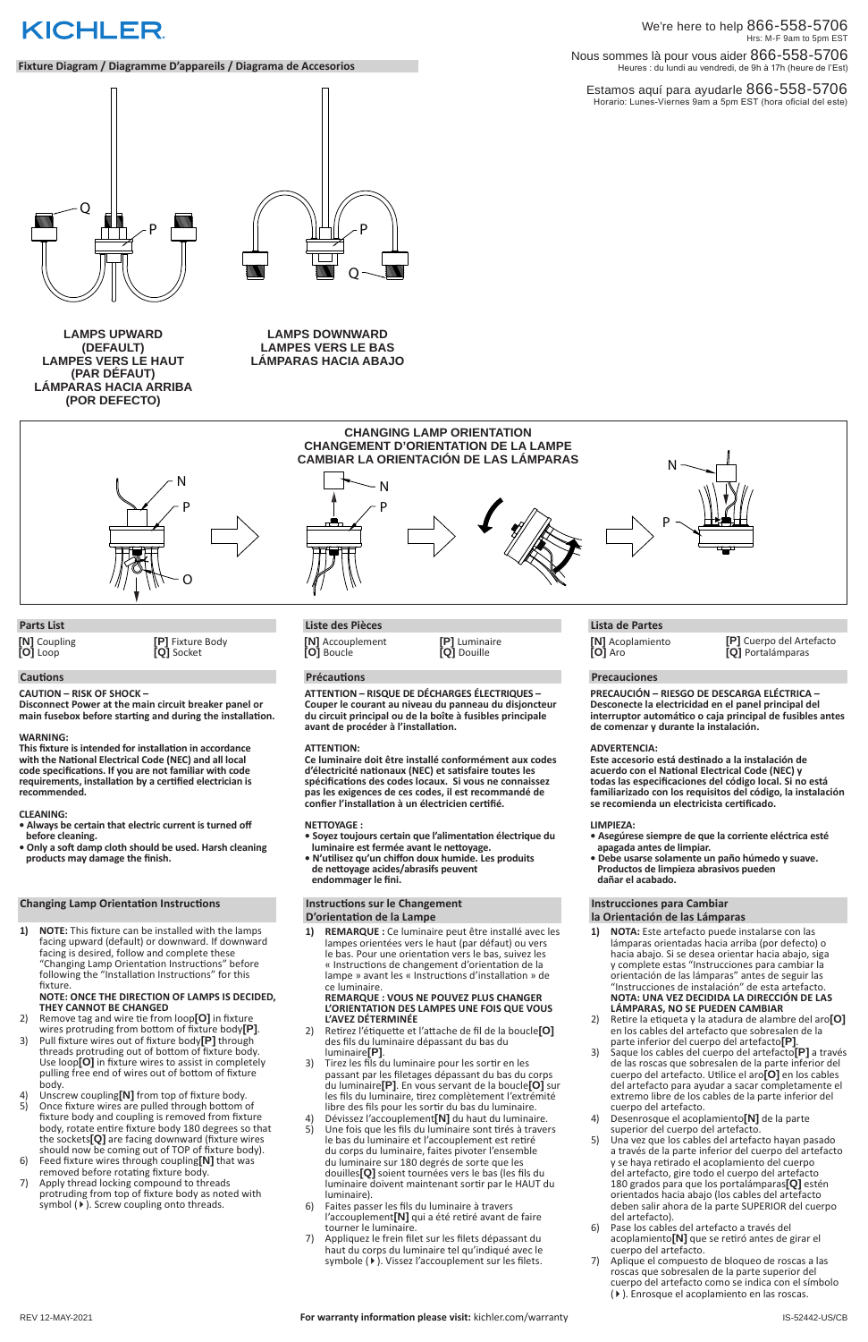Estamos aquí para ayudarle 866-558-5706 Horario: Lunes-Viernes 9am a 5pm EST (hora oficial del este)

#### We're here to help 866-558-5706 Hrs: M-F 9am to 5pm EST Nous sommes là pour vous aider 866-558-5706 Heures : du lundi au vendredi, de 9h à 17h (heure de l'Est)

#### **Cautions**

**CAUTION – RISK OF SHOCK –** 

**Disconnect Power at the main circuit breaker panel or main fusebox before starting and during the installation.** 

#### **WARNING:**

**This fixture is intended for installation in accordance with the National Electrical Code (NEC) and all local code specifications. If you are not familiar with code requirements, installation by a certified electrician is recommended.**

- 2) Remove tag and wire tie from loop**[O]** in fixture
- 3) Pull fixture wires out of fixture body<sup>[P]</sup> through threads protruding out of bottom of fixture body. Use loop**[O]** in fixture wires to assist in completely pulling free end of wires out of bottom of fixture body.
- 4) Unscrew coupling<sup>[N]</sup> from top of fixture body.<br>5) Once fixture wires are pulled through bottom o
- 5) Once fixture wires are pulled through bottom of fixture body and coupling is removed from fixture body, rotate entire fixture body 180 degrees so that the sockets**[Q]** are facing downward (fixture wires should now be coming out of TOP of fixture body).
- 6) Feed fixture wires through coupling**[N]** that was removed before rotating fixture body.
- 7) Apply thread locking compound to threads protruding from top of fixture body as noted with symbol ( $\blacktriangleright$ ). Screw coupling onto threads.

#### **CLEANING:**

- **Always be certain that electric current is turned off before cleaning.**
- **Only a soft damp cloth should be used. Harsh cleaning products may damage the finish.**

#### **Changing Lamp Orientation Instructions**

**1) NOTE:** This fixture can be installed with the lamps facing upward (default) or downward. If downward facing is desired, follow and complete these "Changing Lamp Orientation Instructions" before following the "Installation Instructions" for this fixture.

#### **NOTE: ONCE THE DIRECTION OF LAMPS IS DECIDED, THEY CANNOT BE CHANGED**

- 2) Retirez l'étiquette et l'attache de fil de la boucle**[O]** des fils du luminaire dépassant du bas du luminaire**[P]**.
- 3) Tirez les fils du luminaire pour les sortir en les passant par les filetages dépassant du bas du corps du luminaire**[P]**. En vous servant de la boucle**[O]** sur les fils du luminaire, tirez complètement l'extrémité libre des fils pour les sortir du bas du luminaire.
- 4) Dévissez l'accouplement**[N]** du haut du luminaire.
- 5) Une fois que les fils du luminaire sont tirés à travers le bas du luminaire et l'accouplement est retiré du corps du luminaire, faites pivoter l'ensemble du luminaire sur 180 degrés de sorte que les douilles**[Q]** soient tournées vers le bas (les fils du luminaire doivent maintenant sortir par le HAUT du luminaire).
- 6) Faites passer les fils du luminaire à travers l'accouplement**[N]** qui a été retiré avant de faire tourner le luminaire.
- 7) Appliquez le frein filet sur les filets dépassant du haut du corps du luminaire tel qu'indiqué avec le symbole ( $\blacktriangleright$ ). Vissez l'accouplement sur les filets.

# **KICHLER**

#### **Fixture Diagram / Diagramme D'appareils / Diagrama de Accesorios**

**LAMPS DOWNWARD LAMPES VERS LE BAS LÁMPARAS HACIA ABAJO**

**Parts List**

**[N]** Coupling **[O]** Loop

**[P]** Fixture Body **[Q]** Socket

#### **Précautions**

**ATTENTION – RISQUE DE DÉCHARGES ÉLECTRIQUES – Couper le courant au niveau du panneau du disjoncteur du circuit principal ou de la boîte à fusibles principale avant de procéder à l'installation.**

#### **ATTENTION:**

**Ce luminaire doit être installé conformément aux codes d'électricité nationaux (NEC) et satisfaire toutes les spécifications des codes locaux. Si vous ne connaissez pas les exigences de ces codes, il est recommandé de confier l'installation à un électricien certifié.**

#### **NETTOYAGE :**

#### Instrucciones de instalación" de esta artefacto. **NOTA: UNA VEZ DECIDIDA LA DIRECCIÓN DE LAS LÁMPARAS, NO SE PUEDEN CAMBIAR**

- **Soyez toujours certain que l'alimentation électrique du luminaire est fermée avant le nettoyage.**
- **N'utilisez qu'un chiffon doux humide. Les produits de nettoyage acides/abrasifs peuvent endommager le fini.**

**1) REMARQUE :** Ce luminaire peut être installé avec les lampes orientées vers le haut (par défaut) ou vers le bas. Pour une orientation vers le bas, suivez les « Instructions de changement d'orientation de la lampe » avant les « Instructions d'installation » de

ce luminaire.

#### **REMARQUE : VOUS NE POUVEZ PLUS CHANGER L'ORIENTATION DES LAMPES UNE FOIS QUE VOUS L'AVEZ DÉTERMINÉE**

# **Liste des Pièces**

#### **Precauciones**

**PRECAUCIÓN – RIESGO DE DESCARGA ELÉCTRICA – Desconecte la electricidad en el panel principal del interruptor automático o caja principal de fusibles antes de comenzar y durante la instalación.** 

#### **ADVERTENCIA:**

**Este accesorio está destinado a la instalación de acuerdo con el National Electrical Code (NEC) y todas las especificaciones del código local. Si no está familiarizado con los requisitos del código, la instalación se recomienda un electricista certificado.**

#### **Instructions sur le Changement D'orientation de la Lampe la Orientación de las Lámparas**

#### **LIMPIEZA:**

- **Asegúrese siempre de que la corriente eléctrica esté apagada antes de limpiar.**
- **Debe usarse solamente un paño húmedo y suave. Productos de limpieza abrasivos pueden dañar el acabado.**

# **Instrucciones para Cambiar**

**1) NOTA:** Este artefacto puede instalarse con las lámparas orientadas hacia arriba (por defecto) o hacia abajo. Si se desea orientar hacia abajo, siga y complete estas "Instrucciones para cambiar la orientación de las lámparas" antes de seguir las

- 2) Retire la etiqueta y la atadura de alambre del aro**[O]** en los cables del artefacto que sobresalen de la parte inferior del cuerpo del artefacto**[P]**.
- 3) Saque los cables del cuerpo del artefacto**[P]** a través de las roscas que sobresalen de la parte inferior del cuerpo del artefacto. Utilice el aro**[O]** en los cables del artefacto para ayudar a sacar completamente el extremo libre de los cables de la parte inferior del cuerpo del artefacto.
- 4) Desenrosque el acoplamiento**[N]** de la parte superior del cuerpo del artefacto.
- 5) Una vez que los cables del artefacto hayan pasado a través de la parte inferior del cuerpo del artefacto y se haya retirado el acoplamiento del cuerpo del artefacto, gire todo el cuerpo del artefacto 180 grados para que los portalámparas**[Q]** estén orientados hacia abajo (los cables del artefacto deben salir ahora de la parte SUPERIOR del cuerpo del artefacto).
- 6) Pase los cables del artefacto a través del acoplamiento**[N]** que se retiró antes de girar el cuerpo del artefacto.
- 7) Aplique el compuesto de bloqueo de roscas a las roscas que sobresalen de la parte superior del cuerpo del artefacto como se indica con el símbolo (4). Enrosque el acoplamiento en las roscas.

#### **Lista de Partes**

**LAMPS UPWARD (DEFAULT) LAMPES VERS LE HAUT (PAR DÉFAUT) LÁMPARAS HACIA ARRIBA (POR DEFECTO)**

> **[N]** Accouplement **[O]** Boucle

**[P]** Luminaire **[Q]** Douille

**[N]** Acoplamiento **[O]** Aro

#### **[P]** Cuerpo del Artefacto **[Q]** Portalámparas







N

N

 $\mathsf{P} \searrow \frac{\pm \mathbf{B}}{\sqrt{2\pi}}$ 

P

**CHANGING LAMP ORIENTATION CHANGEMENT D'ORIENTATION DE LA LAMPE CAMBIAR LA ORIENTACIÓN DE LAS LÁMPARAS**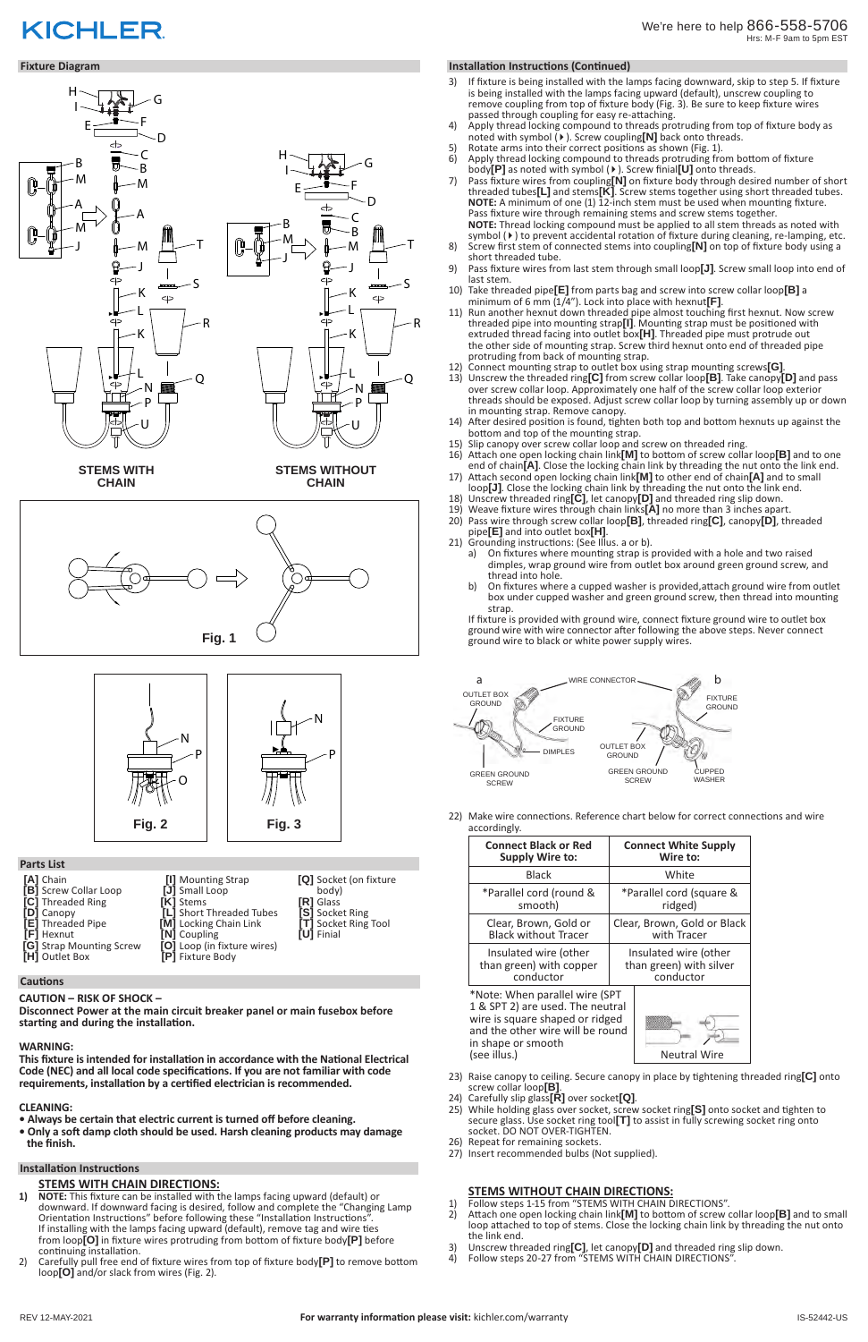# **STEMS WITH CHAIN DIRECTIONS:**

- **1) NOTE:** This fixture can be installed with the lamps facing upward (default) or downward. If downward facing is desired, follow and complete the "Changing Lamp Orientation Instructions" before following these "Installation Instructions". If installing with the lamps facing upward (default), remove tag and wire ties from loop**[O]** in fixture wires protruding from bottom of fixture body**[P]** before continuing installation.
- 2) Carefully pull free end of fixture wires from top of fixture body**[P]** to remove bottom loop**[O]** and/or slack from wires (Fig. 2).

# **KICHLER**

#### **Fixture Diagram**

### **Parts List**

#### **CAUTION – RISK OF SHOCK –**

**Disconnect Power at the main circuit breaker panel or main fusebox before starting and during the installation.** 

#### **WARNING:**

**This fixture is intended for installation in accordance with the National Electrical Code (NEC) and all local code specifications. If you are not familiar with code requirements, installation by a certified electrician is recommended.**

#### **CLEANING:**

- **Always be certain that electric current is turned off before cleaning.**
- **Only a soft damp cloth should be used. Harsh cleaning products may damage the finish.**
- **[A]** Chain **[B]** Screw Collar Loop **[C]** Threaded Ring
- **[D]** Canopy **[E]** Threaded Pipe
- **[F]** Hexnut
- 
- **[G]** Strap Mounting Screw **[H]** Outlet Box
- **Cautions**
- **[I]** Mounting Strap **[J]** Small Loop **[K]** Stems **[L]** Short Threaded Tubes<br>**[M]** Locking Chain Link **[M]** Locking Chain Link **[N]** Coupling **[O]** Loop (in fixture wires) **[P]** Fixture Body

**[Q]** Socket (on fixture body) **[R]** Glass **[S]** Socket Ring **[T]** Socket Ring Tool

 $\overline{\phantom{a}}$ 

**[U]** Finial

#### **Installation Instructions**

## **STEMS WITHOUT CHAIN DIRECTIONS:**

- 1) Follow steps 1-15 from "STEMS WITH CHAIN DIRECTIONS".
- 2) Attach one open locking chain link**[M]** to bottom of screw collar loop**[B]** and to small loop attached to top of stems. Close the locking chain link by threading the nut onto the link end.
- 3) Unscrew threaded ring**[C]**, let canopy**[D]** and threaded ring slip down.
- 4) Follow steps 20-27 from "STEMS WITH CHAIN DIRECTIONS".

**STEMS WITHOUT** J **CHAIN**



**STEMS WITH** J **CHAIN**





P

J

#### **Installation Instructions (Continued)**

\*Note: When parallel wire (SPT 1 & SPT 2) are used. The neutral wire is square shaped or ridged and the other wire will be round in shape or smooth (see illus.)



- 3) If fixture is being installed with the lamps facing downward, skip to step 5. If fixture is being installed with the lamps facing upward (default), unscrew coupling to remove coupling from top of fixture body (Fig. 3). Be sure to keep fixture wires passed through coupling for easy re-attaching.
- 4) Apply thread locking compound to threads protruding from top of fixture body as noted with symbol (4). Screw coupling**[N]** back onto threads.
- 5) Rotate arms into their correct positions as shown (Fig. 1).
- 6) Apply thread locking compound to threads protruding from bottom of fixture body**[P]** as noted with symbol (4). Screw finial**[U]** onto threads.
- 7) Pass fixture wires from coupling**[N]** on fixture body through desired number of short threaded tubes**[L]** and stems**[K]**. Screw stems together using short threaded tubes. **NOTE:** A minimum of one (1) 12-inch stem must be used when mounting fixture. Pass fixture wire through remaining stems and screw stems together. **NOTE:** Thread locking compound must be applied to all stem threads as noted with symbol ( $\blacktriangleright$ ) to prevent accidental rotation of fixture during cleaning, re-lamping, etc.
- 8) Screw first stem of connected stems into coupling**[N]** on top of fixture body using a short threaded tube.
- 9) Pass fixture wires from last stem through small loop**[J]**. Screw small loop into end of last stem.
- 10) Take threaded pipe**[E]** from parts bag and screw into screw collar loop**[B]** a minimum of 6 mm (1/4"). Lock into place with hexnut**[F]**.
- 11) Run another hexnut down threaded pipe almost touching first hexnut. Now screw threaded pipe into mounting strap**[I]**. Mounting strap must be positioned with extruded thread facing into outlet box**[H]**. Threaded pipe must protrude out the other side of mounting strap. Screw third hexnut onto end of threaded pipe protruding from back of mounting strap.
- 12) Connect mounting strap to outlet box using strap mounting screws**[G]**.
- 13) Unscrew the threaded ring**[C]** from screw collar loop**[B]**. Take canopy**[D]** and pass over screw collar loop. Approximately one half of the screw collar loop exterior threads should be exposed. Adjust screw collar loop by turning assembly up or down in mounting strap. Remove canopy.
- 14) After desired position is found, tighten both top and bottom hexnuts up against the bottom and top of the mounting strap.
- 15) Slip canopy over screw collar loop and screw on threaded ring.
- 16) Attach one open locking chain link**[M]** to bottom of screw collar loop**[B]** and to one end of chain**[A]**. Close the locking chain link by threading the nut onto the link end.
- 17) Attach second open locking chain link**[M]** to other end of chain**[A]** and to small loop**[J]**. Close the locking chain link by threading the nut onto the link end.
- 18) Unscrew threaded ring**[C]**, let canopy**[D]** and threaded ring slip down. 19) Weave fixture wires through chain links**[A]** no more than 3 inches apart.
- 20) Pass wire through screw collar loop**[B]**, threaded ring**[C]**, canopy**[D]**, threaded pipe**[E]** and into outlet box**[H]**.
- 21) Grounding instructions: (See Illus. a or b).
	- a) On fixtures where mounting strap is provided with a hole and two raised dimples, wrap ground wire from outlet box around green ground screw, and thread into hole.
	- b) On fixtures where a cupped washer is provided,attach ground wire from outlet box under cupped washer and green ground screw, then thread into mounting strap.

If fixture is provided with ground wire, connect fixture ground wire to outlet box ground wire with wire connector after following the above steps. Never connect ground wire to black or white power supply wires.

22) Make wire connections. Reference chart below for correct connections and wire accordingly.

| <b>Connect Black or Red</b> | <b>Connect White Supply</b> |
|-----------------------------|-----------------------------|
| <b>Supply Wire to:</b>      | Wire to:                    |
| <b>Black</b>                | White                       |
| *Parallel cord (round &     | *Parallel cord (square &    |
| smooth)                     | ridged)                     |
| Clear, Brown, Gold or       | Clear, Brown, Gold or Black |
| <b>Black without Tracer</b> | with Tracer                 |
| Insulated wire (other       | Insulated wire (other       |
| than green) with copper     | than green) with silver     |
| conductor                   | conductor                   |

- 23) Raise canopy to ceiling. Secure canopy in place by tightening threaded ring**[C]** onto screw collar loop**[B]**.
- 24) Carefully slip glass**[R]** over socket**[Q]**.
- 25) While holding glass over socket, screw socket ring**[S]** onto socket and tighten to secure glass. Use socket ring tool**[T]** to assist in fully screwing socket ring onto socket. DO NOT OVER-TIGHTEN.
- 26) Repeat for remaining sockets.
- 27) Insert recommended bulbs (Not supplied).

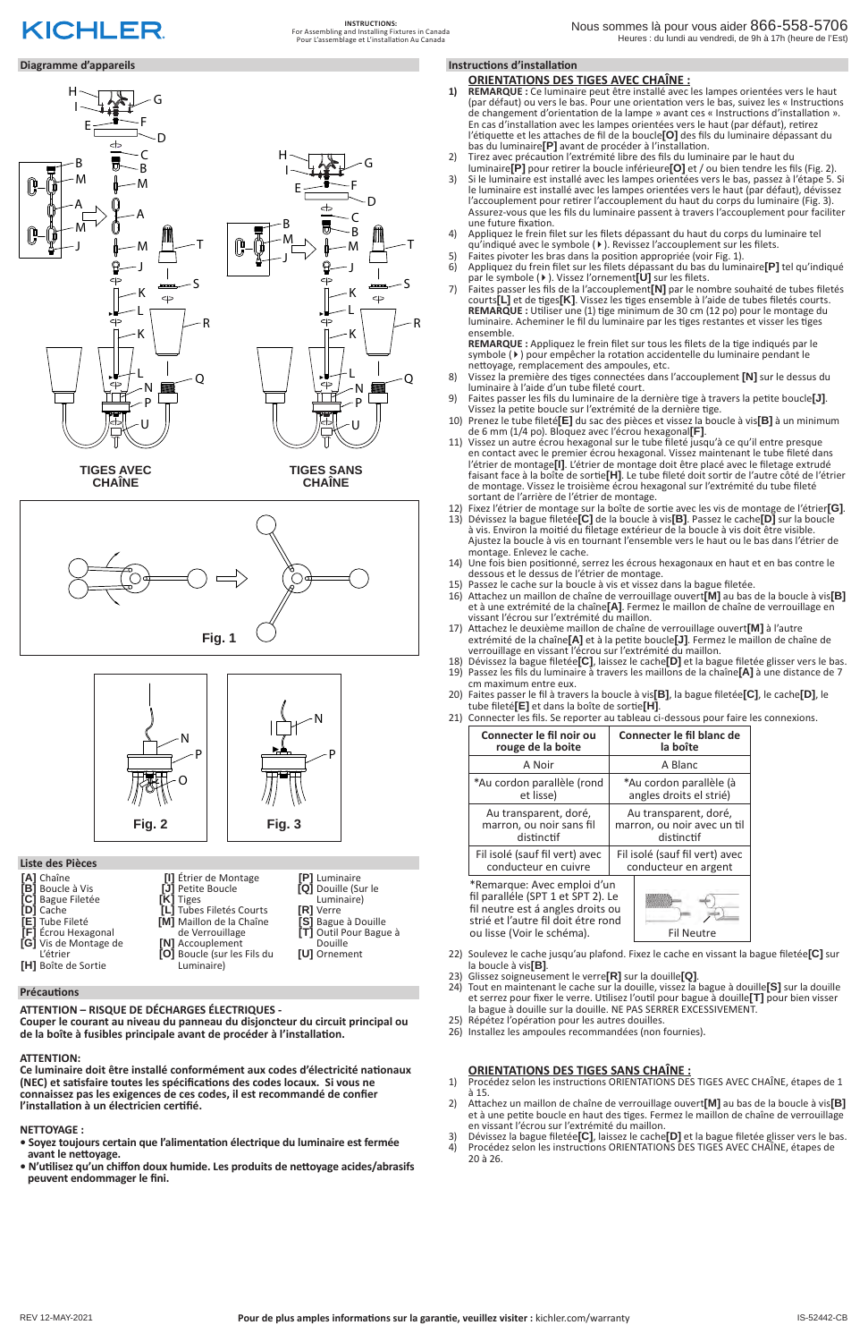#### **Diagramme d'appareils**

#### **ATTENTION – RISQUE DE DÉCHARGES ÉLECTRIQUES -**

**Couper le courant au niveau du panneau du disjoncteur du circuit principal ou de la boîte à fusibles principale avant de procéder à l'installation.**

#### **ATTENTION:**

**Ce luminaire doit être installé conformément aux codes d'électricité nationaux (NEC) et satisfaire toutes les spécifications des codes locaux. Si vous ne connaissez pas les exigences de ces codes, il est recommandé de confier l'installation à un électricien certifié.**

#### **NETTOYAGE :**

- **Soyez toujours certain que l'alimentation électrique du luminaire est fermée avant le nettoyage.**
- **N'utilisez qu'un chiffon doux humide. Les produits de nettoyage acides/abrasifs peuvent endommager le fini.**

#### **Liste des Pièces**

#### **Précautions**

**[A]** Chaîne **[B]** Boucle à Vis **[C]** Bague Filetée

**[D]** Cache **[E]** Tube Fileté **[F]** Écrou Hexagonal **[G]** Vis de Montage de L'étrier **[H]** Boîte de Sortie

- **[I]** Étrier de Montage **[J]** Petite Boucle **[K]** Tiges **[L]** Tubes Filetés Courts
	- **[M]** Maillon de la Chaîne de Verrouillage
		- **[N]** Accouplement **[O]** Boucle (sur les Fils du Luminaire)
- **[P]** Luminaire **[Q]** Douille (Sur le Luminaire) **[R]** Verre **[S]** Bague à Douille **[T]** Outil Pour Bague à Douille

 $\overline{\phantom{a}}$ 

**[U]** Ornement

#### **ORIENTATIONS DES TIGES AVEC CHAÎNE :**

- **1) REMARQUE :** Ce luminaire peut être installé avec les lampes orientées vers le haut (par défaut) ou vers le bas. Pour une orientation vers le bas, suivez les « Instructions de changement d'orientation de la lampe » avant ces « Instructions d'installation ». En cas d'installation avec les lampes orientées vers le haut (par défaut), retirez l'étiquette et les attaches de fil de la boucle**[O]** des fils du luminaire dépassant du bas du luminaire**[P]** avant de procéder à l'installation.
- 2) Tirez avec précaution l'extrémité libre des fils du luminaire par le haut du luminaire**[P]** pour retirer la boucle inférieure**[O]** et / ou bien tendre les fils (Fig. 2).
- 3) Si le luminaire est installé avec les lampes orientées vers le bas, passez à l'étape 5. Si le luminaire est installé avec les lampes orientées vers le haut (par défaut), dévissez l'accouplement pour retirer l'accouplement du haut du corps du luminaire (Fig. 3). Assurez-vous que les fils du luminaire passent à travers l'accouplement pour faciliter une future fixation.
- 4) Appliquez le frein filet sur les filets dépassant du haut du corps du luminaire tel qu'indiqué avec le symbole (4). Revissez l'accouplement sur les filets.
- 5) Faites pivoter les bras dans la position appropriée (voir Fig. 1).<br>6) Appliquez du frein filet sur les filets dépassant du bas du lumir
- 6) Appliquez du frein filet sur les filets dépassant du bas du luminaire**[P]** tel qu'indiqué par le symbole (4). Vissez l'ornement**[U]** sur les filets.
- 7) Faites passer les fils de la l'accouplement**[N]** par le nombre souhaité de tubes filetés courts**[L]** et de tiges**[K]**. Vissez les tiges ensemble à l'aide de tubes filetés courts. **REMARQUE :** Utiliser une (1) tige minimum de 30 cm (12 po) pour le montage du luminaire. Acheminer le fil du luminaire par les tiges restantes et visser les tiges ensemble.

**REMARQUE :** Appliquez le frein filet sur tous les filets de la tige indiqués par le symbole ( $\blacktriangleright$ ) pour empêcher la rotation accidentelle du luminaire pendant le nettoyage, remplacement des ampoules, etc.

- 8) Vissez la première des tiges connectées dans l'accouplement **[N]** sur le dessus du luminaire à l'aide d'un tube fileté court.
- 9) Faites passer les fils du luminaire de la dernière tige à travers la petite boucle**[J]**. Vissez la petite boucle sur l'extrémité de la dernière tige.
- 10) Prenez le tube fileté**[E]** du sac des pièces et vissez la boucle à vis**[B]** à un minimum de 6 mm (1/4 po). Bloquez avec l'écrou hexagonal**[F]**.
- 11) Vissez un autre écrou hexagonal sur le tube fileté jusqu'à ce qu'il entre presque en contact avec le premier écrou hexagonal. Vissez maintenant le tube fileté dans l'étrier de montage**[I]**. L'étrier de montage doit être placé avec le filetage extrudé faisant face à la boîte de sortie**[H]**. Le tube fileté doit sortir de l'autre côté de l'étrier de montage. Vissez le troisième écrou hexagonal sur l'extrémité du tube fileté sortant de l'arrière de l'étrier de montage.
- 12) Fixez l'étrier de montage sur la boîte de sortie avec les vis de montage de l'étrier**[G]**.
- 13) Dévissez la bague filetée**[C]** de la boucle à vis**[B]**. Passez le cache**[D]** sur la boucle à vis. Environ la moitié du filetage extérieur de la boucle à vis doit être visible. Ajustez la boucle à vis en tournant l'ensemble vers le haut ou le bas dans l'étrier de montage. Enlevez le cache.
- 14) Une fois bien positionné, serrez les écrous hexagonaux en haut et en bas contre le dessous et le dessus de l'étrier de montage.
- 15) Passez le cache sur la boucle à vis et vissez dans la bague filetée.
- 16) Attachez un maillon de chaîne de verrouillage ouvert**[M]** au bas de la boucle à vis**[B]** et à une extrémité de la chaîne**[A]**. Fermez le maillon de chaîne de verrouillage en vissant l'écrou sur l'extrémité du maillon.
- 17) Attachez le deuxième maillon de chaîne de verrouillage ouvert**[M]** à l'autre extrémité de la chaîne**[A]** et à la petite boucle**[J]**. Fermez le maillon de chaîne de verrouillage en vissant l'écrou sur l'extrémité du maillon.
- 18) Dévissez la bague filetée**[C]**, laissez le cache**[D]** et la bague filetée glisser vers le bas.
- 19) Passez les fils du luminaire à travers les maillons de la chaîne**[A]** à une distance de 7 cm maximum entre eux.
- 20) Faites passer le fil à travers la boucle à vis**[B]**, la bague filetée**[C]**, le cache**[D]**, le tube fileté**[E]** et dans la boîte de sortie**[H]**.
- 21) Connecter les fils. Se reporter au tableau ci-dessous pour faire les connexions.

| Connecter le fil noir ou                                                                                                                      | Connecter le fil blanc de      |  |
|-----------------------------------------------------------------------------------------------------------------------------------------------|--------------------------------|--|
| rouge de la boite                                                                                                                             | la boîte                       |  |
| A Noir                                                                                                                                        | A Blanc                        |  |
| *Au cordon parallèle (rond                                                                                                                    | *Au cordon parallèle (à        |  |
| et lisse)                                                                                                                                     | angles droits el strié)        |  |
| Au transparent, doré,                                                                                                                         | Au transparent, doré,          |  |
| marron, ou noir sans fil                                                                                                                      | marron, ou noir avec un til    |  |
| distinctif                                                                                                                                    | distinctif                     |  |
| Fil isolé (sauf fil vert) avec                                                                                                                | Fil isolé (sauf fil vert) avec |  |
| conducteur en cuivre                                                                                                                          | conducteur en argent           |  |
| *Remarque: Avec emploi d'un<br>fil paralléle (SPT 1 et SPT 2). Le<br>fil neutre est á angles droits ou<br>strié et l'autre fil doit étre rond |                                |  |

ou lisse (Voir le schéma). Fil Neutre

- 22) Soulevez le cache jusqu'au plafond. Fixez le cache en vissant la bague filetée**[C]** sur la boucle à vis**[B]**.
- 23) Glissez soigneusement le verre**[R]** sur la douille**[Q]**.

24) Tout en maintenant le cache sur la douille, vissez la bague à douille**[S]** sur la douille et serrez pour fixer le verre. Utilisez l'outil pour bague à douille**[T]** pour bien visser la bague à douille sur la douille. NE PAS SERRER EXCESSIVEMENT.

- 25) Répétez l'opération pour les autres douilles.
- 26) Installez les ampoules recommandées (non fournies).

# **Instructions d'installation**

# **ORIENTATIONS DES TIGES SANS CHAÎNE :**

- 1) Procédez selon les instructions ORIENTATIONS DES TIGES AVEC CHAÎNE, étapes de 1 à 15.
- 2) Attachez un maillon de chaîne de verrouillage ouvert**[M]** au bas de la boucle à vis**[B]** et à une petite boucle en haut des tiges. Fermez le maillon de chaîne de verrouillage en vissant l'écrou sur l'extrémité du maillon.
- 3) Dévissez la bague filetée**[C]**, laissez le cache**[D]** et la bague filetée glisser vers le bas.
- 4) Procédez selon les instructions ORIENTATIONS DES TIGES AVEC CHAÎNE, étapes de 20 à 26.

**CHAÎNE**







P